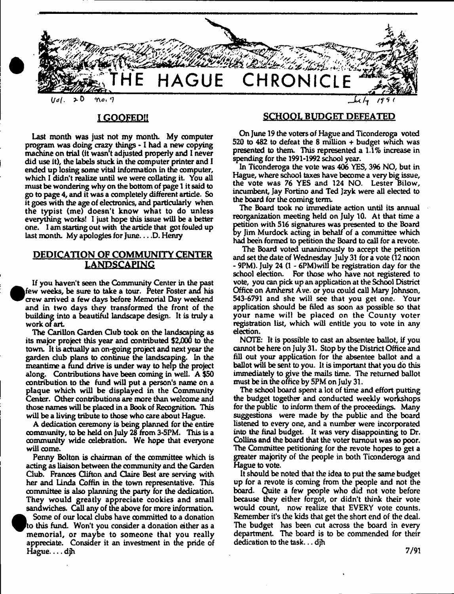

## **IGOOFED!!**

Last month was just not my month. My computer program was doing crazy things - 1 had a new copying machine on trial (it wasn't adjusted properly and I never did use it), the labels stuck in the computer printer and I ended up losing some vital information in the computer, which I didn't realize until we were collating it. You all must be wondering why on the bottom of page 1 it said to go to page 4, and it was a completely different article. So it goes with the age of electronics, and particularly when the typist (me) doesn't know what to do unless everything works! 1 just hope this issue will be a better one. 1 am starting out with the article that got fouled up last month. My apologies for June.  $\dots$  D. Henry

## **DEDICATION OF COMMUNITY CENTER LANDSCAPING**

If you haven't seen the Community Center in the past few weeks, be sure to take a tour. Peter Foster and his crew arrived a few days before Memorial Day weekend and in two days they transformed the front of the building into a beautiful landscape design. It is truly a work of art.

The Carillon Garden Club took on the landscaping as its major project this year and contributed \$2,000 to the town. It is actually an on-going project and next year the garden club plans to continue the landscaping. In the meantime a fund drive is under way to help the project along. Contributions have been coming in well. A \$50 contribution to the fund will put a person's name on a plaque which will be displayed in the Community Center. Other contributions are more than welcome and those names will be placed in a Book of Recognition. This will be a living tribute to those who care about Hague.

A dedication ceremony is being planned for the entire community, to be held on July 28 from 3-5PM. This is a community wide celebration. We hope that everyone will come.

Penny Bolton is chairman of the committee which is acting as liaison between the community and the Garden Club. Frances Clifton and Claire Best are serving with her and Linda Coffin in the town representative. This committee is also planning the party for the dedication. They would greatly appreciate cookies and small sandwiches. Call any of the above for more information.

 $\bullet_{\scriptscriptstyle{\mathsf{tc}}}^{\scriptscriptstyle{\mathsf{st}}}$ Some of our local dubs have committed to a donation 'to this fund. Won't you consider a donation either as a memorial, or maybe to someone that you really appreciate. Consider it an investment in the pride of Hague... djh

#### **SCHOOL BUDGET DEFEATED**

On June 19 the voters of Hague and Ticonderoga voted 520 to 482 to defeat the 8 million + budget which was presented to them. This represented a 1.1% increase in spending for the 1991-1992 school year.

In Ticonderoga the vote was 406 YES, 396 NO, but in Hague, where school taxes have become a very big issue, the vote was 76 YES and 124 NO. Lester Bilow, incumbent, Jay Fortino and Ted Jzyk were ail elected to the board for the coming term.

The Board took no immediate action until its annual reorganization meeting held on July 10. At that time a petition with 516 signatures was presented to the Board by Jim Murdock acting in behalf of a committee which had been formed to petition the Board to call for a revote.

The Board voted unanimously to accept the petition and set the date of Wednesday July 31 for a vote (12 noon - 9PM). July 24 (1 - 6PM)will be registration day for the school election. For those who have not registered to vote, you can pick up an application at the School District Office on Amherst Ave. or you could call Mary Johnson, 543-6791 and she will see that you get one. Your application should be filed as soon as possible so that your name will be placed on the County voter registration list, which will entitle you to vote in any election.

NOTE: It is possible to cast an absentee ballot, if you cannot be here on July 31. Stop by the District Office and fill out your application for the absentee ballot and a ballot will be sent to you. It is important that you do this immediately to give the mails time. The returned ballot must be in the office by 5PM on July 31.

The school board spent a lot of time and effort putting the budget together and conducted weekly workshops for the public to inform them of the proceedings. Many suggestions were made by the public and the board listened to every one, and a number were incorporated into the final budget. It was very disappointing to Dr. Collins and the board that the voter turnout was so poor. The Committee petitioning for the revote hopes to get a greater majority of the people in both Ticonderoga and Hague to vote.

It should be noted that the idea to put the same budget up for a revote is coming from the people and not the board. Quite a few people who did not vote before because they either forgot, or didn't think their vote would count, now realize that EVERY vote counts. Remember it's the kids that get the short end of the deal. The budget has been cut across the board in every department. The board is to be commended for their dedication to the task... djh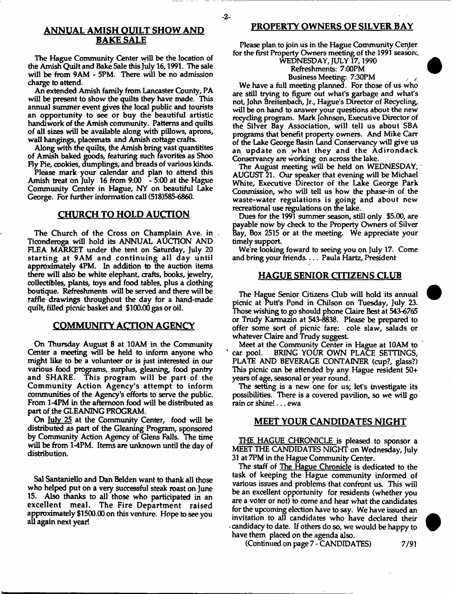# **BAKE SALE**

The Hague Community Center will be the location of the Amish Quilt and Bake Sale this July 16,1991. The sale will be from 9AM - 5PM. There will be no admission charge to attend.

An extended Amish family from Lancaster County, PA will be present to show the quilts they have made. This annual summer event gives the local public and tourists an opportunity to see or buy the beautiful artistic handiwork of the Amish community. Patterns and quilts of all sizes will be available along with pillows, aprons, wall hangings, placemats and Amish cottage crafts.

Along with the quilts, the Amish bring vast quantitites of Amish baked goods, featuring such favorites as Shoo Fly Pie, cookies, dumplings, and breads of various kinds.

Please mark your calendar and plan to attend this Amish treat on July 16 from 9:00 - 5:00 at the Hague Community Center in Hague, NY on beautiful Lake George. For further information call (518)585-6860.

## **CHURCH TO HOLD AUCTION**

The Church of the Cross on Champlain Ave. in Ticonderoga will hold its ANNUAL AUCTION AND FLEA MARKET under the tent on Saturday, July 20 starting at 9AM and continuing all day until approximately 4PM. In addition to the auction items there will also be white elephant, crafts, books, jewelry, collectibles, plants, toys and food tables, plus a clothing boutique. Refreshments will be served and there will be raffle drawings throughout the day for a hand-made quilt, filled picnic basket and \$100.00 gas or oil.

## **COMMUNITY ACTION AGENCY**

On Thursday August 8 at 10AM in the Community Center a meeting will be held to inform anyone who might like to be a volunteer or is just interested in our various food programs, surplus, gleaning, food pantry and SHARE. This program will be part of the Community Action Agency's attempt to inform communities of the Agency's efforts to serve the public. From 1-4PM in the afternoon food will be distributed as part of the GLEANING PROGRAM.

On <u>July 25</u> at the Community Center, food will be distributed as part of the Gleaning Program, sponsored by Community Action Agency of Glens Falls. The time will be from 1-4PM. Items are unknown until the day of distribution.

Sal Santaniello and Dan Belden want to thank all those who helped put on a very successful steak roast on June 15. Also thanks to all those who participated in an excellent meal. The Fire Department raised approximately \$1500.00 on this venture. Hope to see you all again next year!

## **ANNUAL AMISH QUILT SHOW AND PROPERTY OWNERS OF SILVER BAY**

Please plan to join us in the Hague Community Center for the first Property Owners meeting of the 1991 season;,

#### WEDNESDAY, JULY 17,1990 Refreshments: 7:00PM Business Meeting: 7:30PM

We have a full meeting planned. For those of us who are still trying to figure out what's garbage and what's not, John Breitenbach, Jr., Hague's Director of Recycling, will be on hand to answer your questions about the new recycling program. Mark Johnson, Executive Director of the Silver Bay Association, will tell us about SBA programs that benefit property owners. And Mike Carr of the Lake George Basin Land Conservancy will give us an update on what they and the Adirondack Conservancy are working on across the lake.

The August meeting will be held on WEDNESDAY, AUGUST 21. Our speaker that evening will be Michael White, Executive Director of the Lake George Park Commission, who will tell us how the phase-in of the waste-water regulations is going and about new recreational use regulations on the lake.

Dues for the 1991 summer season, still only \$5.00, are payable now by check to the Property Owners of Silver Bay, Box 2515 or at the meeting. We appreciate your timely support.

We're looking foward to seeing you on July 17. Come and bring your friends.... Paula Hartz, President

#### **HAGUE SENIOR CITIZENS CLUB**

The Hague Senior Gtizens Club will hold its annual picnic at Putt's Pond in Chilson on Tuesday, July 23. Those wishing to go should phone Claire Best at 543-6765 or Trudy Karmazin at 543-8838. Please be prepared to offer some sort of picnic fare: cole slaw, salads or whatever Claire and Trudy suggest

Meet at the Community Center in Hague at 10AM to car pool. BRING YOUR OWN PLACE SETTINGS, PLATE AND BEVERAGE CONTAINER (cup?, glass?) This picnic can be attended by any Hague resident 50+ years of age, seasonal or year round.

The setting is a new one for us; let's investigate its possibilities. There is a covered pavilion, so we will go rain or shine!... ewa

#### **MEET YOUR CANDIDATES NIGHT**

THE HAGUE CHRONICLE is pleased to sponsor a MEET THE CANDIDATES NIGHT on Wednesday, July 31 at 7PM in the Hague Community Center.

The staff of The Hague Chronicle is dedicated to the task of keeping the Hague community informed of various issues and problems that confront us. This will be an excellent opportunity for residents (whether you are a voter or not) to come and hear what the candidates for the upcoming election have to say. We have issued an invitation to all candidates who have declared their \* candidacy to date. If others do so, we would be happy to have them placed on the agenda also.

(Continued on page 7 - CANDIDATES) 7/91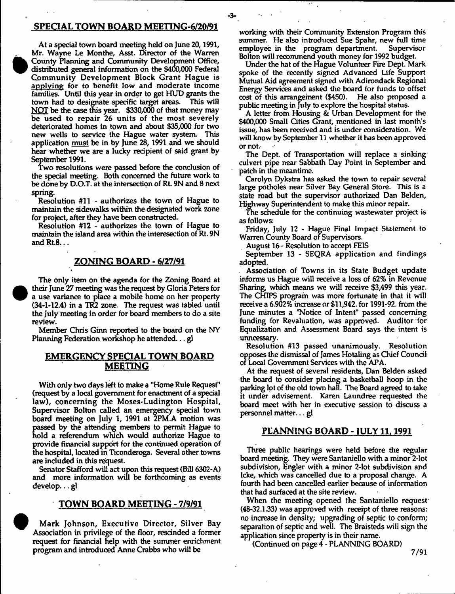#### **SPECIAL TOWN BOARD MEETING-6/20/91**

At a special town board meeting held on June 20,1991, Mr. Wayne Le Monthe, Asst. Director of the Warren County Planning and Community Development Office, distributed general information on the \$400,000 Federal Community Development Block Grant Hague is applying for to benefit low and moderate income families. Until this year in order to get HUD grants the town had to designate specific target areas. This will NOT be the case this year. \$330,000 of that money may be used to repair 26 units of the most severely deteriorated homes in town and about \$35,000 for two new wells to service the Hague water system. This application must be in by June 28, 1991 and we should hear whether we are a lucky recipient of said grant by September 1991.

Two resolutions were passed before the conclusion of the special meeting. Both concerned the future work to be done by D.O.T. at the intersection of Rt. 9N and 8 next spring.

Resolution #11 - authorizes the town of Hague to maintain the sidewalks within the designated work zone for project, after they have been constructed.

Resolution #12 - authorizes the town of Hague to maintain the island area within the interesection of Rt. 9N and Rt.8...

#### **ZONING BOARD - 6/27/91**

The only item on the agenda for the Zoning Board at their June 27 meeting was the request by Gloria Peters for a use variance to place a mobile home on her property (34-1-12.4) in a TR2 zone. The request was tabled until the July meeting in order for board members to do a site review.

Member Chris Ginn reported to the board on the NY Planning Federation workshop he attended... gl

#### **EMERGENCY SPECIAL TOWN BOARD MEETING**

With only two days left to make a "Home Rule Request" (request by a local government for enactment of a special law), concerning the Moses-Ludington Hospital, Supervisor Bolton called an emergency special town board meeting on July 1, 1991 at 2PM.A motion was passed by the attending members to permit Hague to hold a referendum which would authorize Hague to provide financial support for the continued operation of the hospital, located in Ticonderoga. Several other towns are included in this request.

Senator Stafford will act upon this request (Bill 6302-A) and more information will be forthcoming as events develop... gl

#### **TOWN BOARD MEETING - 7/9/91**

Mark Johnson, Executive Director, Silver Bay Association in privilege of the floor, rescinded a former request for financial help with the summer enrichment program and introduced Anne Crabbs who will be

working with their Community Extension Program this summer. He also introduced Sue Spahr, new full time<br>employee in the program department. Supervisor employee in the program department. Bolton will recommend youth money for 1992 budget.

Under the hat of the Hague Volunteer Fire Dept. Mark spoke of the recently signed Advanced Life Support Mutual Aid agreement signed with Adirondack Regional Energy Services and asked the board for funds to offset cost of this arrangement  $(\$450)$ . public meeting in July to explore the hospital status.

A letter from Housing & Urban Development for the \$400,000 Small Cities Grant, mentioned in last month's issue, has been received and is under consideration. We will know by September 11 whether it has been approved or not.

The Dept, of Transportation will replace a sinking culvert pipe near Sabbath Day Point in September and patch in the meantime.

Carolyn Dykstra has asked the town to repair several large potholes near Silver Bay General Store. This is a state road but the supervisor authorized Dan Belden, Highway Superintendent to make this minor repair.

The schedule for the continuing wastewater project is as follows:

Friday, July 12 - Hague Final Impact Statement to Warren County Board of Supervisors.

August 16 - Resolution to accept FEIS

September 13 - SEQRA application and findings adopted.

Association of Towns in its State Budget update informs us Hague will receive a loss of 62% in Revenue Sharing, which means we will receive \$3,499 this year. The CHIPS program was more fortunate in that it will receive a 6.902% increase or \$11,942. for 1991-92. from the June minutes a 'Notice of Intent" passed concerning funding for Revaluation, was approved. Auditor for Equalization and Assessment Board says the intent is unncessary.

Resolution #13 passed unanimously. Resolution opposes the dismissal of James Hotaling as Chief Council of Local Government Services with the APA.

At the request of several residents, Dan Belden asked the board to consider placing a basketball hoop in the parking lot of the old town hall. The Board agreed to take it under advisement. Karen Laundree requested the board meet with her in executive session to discuss a personnel matter...gl

#### **PLANNING BOARD - 1ULY11.1991**

Three public hearings were held before the regular board meeting. They were Santaniello with a minor 2-lot subdivision, Engler with a minor 2-lot subdivision and Icke, which was cancelled due to a proposal change. A fourth had been cancelled earlier because of information that had surfaced at the site review.

When the meeting opened the Santaniello request (48-32.1.33) was approved with receipt of three reasons: no increase in density; upgrading of septic to conform; separation of septic and well. The Braisteds will sign the application since property is in their name.

(Continued on page 4 - PLANNING BOARD)

**7/91**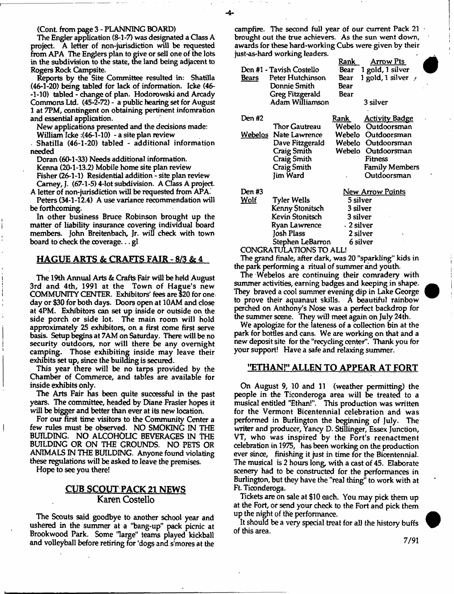(Cont. from page 3 - PLANNING BOARD)

The Engler application (8-1 -7) was designated a Class A project. A letter of non-jurisdiction will be requested from APA The Englers plan to give or sell one of the lots in the subdivision to the state, the land being adjacent to Rogers Rock Campsite.

Reports by the Site Committee resulted in: Shatilla (46-1-20) being tabled for lack of information. Icke (46- -1-10) tabled - change of plan. Hodorowski and Arcady Commons Ltd. (45-2-72) - a public hearing set for August 1 at 7PM, contingent on obtaining pertinent infomration and essential application.

New applications presented and the decisions made: William Icke : (46-1-10) - a site plan review

. Shatilla (46-1-20) tabled - additional information needed

Doran (60-1-33) Needs additional information.

Kenna (20-1-13.2) Mobile home site plan review

Fisher (26-1-1) Residential addition - site plan review Camey,J. (67-1-5) 4-lot subdivision. A Class A project.

A letter of non-jurisdiction will be requested from APA. Peters (34-1-12.4) A use variance recommendation will be forthcoming.

In other business Bruce Robinson brought up the matter of liability insurance covering individual board members. John Breitenbaeh, Jr. will check with town board to check the coverage... gl

#### **HAGUE ARTS & CRAFTS FAIR - 8/3 & 4**

The 19th Annual Arts & Crafts Fair will be held August 3rd and 4th, 1991 at the Town of Hague's new COMMUNITY CENTER. Exhibitors' fees are \$20 for one day or \$30 for both days. Doors open at 10AM and close at 4PM. Exhibitors can set up inside or outside on the side porch or side lot. The main room will hold approximately 25 exhibitors, on a first come first serve basis. Setup begins at 7AM on Saturday. There will be no security outdoors, nor will there be any overnight camping. Those exhibiting inside may leave their exhibits set up, since the building is secured.

This year there will be no tarps provided by the Chamber of Commerce, and tables are available for inside exhibits only.

The Arts Fair has been quite successful in the past years. The committee, headed by Diane Frasier hopes it will be bigger and better than ever at its new location.

For our first time visitors to the Community Center a few rules must be observed. NO SMOKING IN THE BUILDING. NO ALCOHOLIC BEVERAGES IN THE BUILDING OR ON THE GROUNDS. NO PETS OR ANIMALS IN THE BUILDING. Anyone found violating these regulations will be asked to leave the premises.

Hope to see you there!

## **CUB SCOUT PACK 21 NEWS Karen Costello**

The Scouts said goodbye to another school year and ushered in the summer at a 'bang-up" pack picnic at Brookwood Park. Some "large" teams played kickball and volleyball before retiring for 'dogs and s'mores at the

campfire. The second full year of our current Pack 21 brought out the true achievers. As the sun went down, awards for these hard-working Cubs were given by their just-as-hard working leaders.

|                              |                    | Rank                                                       | Arrow Pts                |
|------------------------------|--------------------|------------------------------------------------------------|--------------------------|
| Den #1 - Tavish Costello     |                    | Bear                                                       | 1 gold, 1 silver         |
| <b>Bears</b>                 | Peter Hutchinson   | Веаг                                                       | 1 gold, 1 silver $\cdot$ |
|                              | Donnie Smith       | Bear                                                       |                          |
|                              | Greg Fitzgerald    | Bear                                                       |                          |
|                              | Adam Williamson    |                                                            | 3 silver                 |
| Den #2                       |                    | Rank                                                       | <b>Activity Badge</b>    |
|                              | Thor Gautreau      | Webelo                                                     | Outdoorsman              |
| Webelos :                    | Nate Lawrence      | Webelo                                                     | Outdoorsman              |
|                              | Dave Fitzgerald    | Webelo                                                     | Outdoorsman              |
|                              | Craig Smith        | Webelo                                                     | Outdoorsman              |
|                              | <b>Craig Smith</b> |                                                            | Fitness                  |
|                              | <b>Craig Smith</b> |                                                            | <b>Family Members</b>    |
|                              | Jim Ward           |                                                            | Outdoorsman              |
| Den #3                       |                    |                                                            | <u>New Arrow Points</u>  |
| <u>Wolf</u>                  | Tyler Wells        | 5 silver<br>3 silver<br>3 silver<br>. 2 silver<br>2 silver |                          |
|                              | Kenny Stonitsch    |                                                            |                          |
|                              | Kevin Stonitsch    |                                                            |                          |
|                              | Ryan Lawrence      |                                                            |                          |
|                              | Josh Plass         |                                                            |                          |
| Stephen LeBarron<br>6 silver |                    |                                                            |                          |
| CONGRATULATIONS TO ALL!      |                    |                                                            |                          |

The grand finale, after dark, was 20 "sparkling" kids in the park performing a ritual of summer and youth.

The Webelos are continuing their comradery with summer activities, earning badges and keeping in shape. They braved a cool summer evening dip in Lake George to prove their aquanaut skills. A beautiful rainbow perched on Anthony's Nose was a perfect backdrop for the summer scene. They will meet again on July 24th.

We apologize for the lateness of a collection bin at the park for bottles and cans. We are working on that and a new deposit site for the "recycling center". Thank you for your support! Have a safe and relaxing summer.

#### **"ETHAN!" ALLEN TO APPEAR AT FORT**

On August 9, 10 and 11 (weather permitting) the people in the Ticonderoga area will be treated to a musical entitled "Ethan!". This production was written for the Vermont Bicentennial celebration and was performed in Burlington the beginning of July. The writer and producer, Yancy D. Stillinger, Essex Junction, VT, who was inspired by the Fort's reenactment celebration in 1975, has been working on the production ever since, finishing it just in time for the Bicentennial. The musical is 2 hours long, with a cast of 45. Elaborate scenery had to be constructed for the performances in Burlington, but they have the "real thing" to work with at Ft. Ticonderoga.

Tickets are on sale at \$10 each. You may pick them up at the Fort, or send your check to the Fort and pick them up the night of the performance.

It should be a very special treat for all the history buffs of this area.

**7/91**

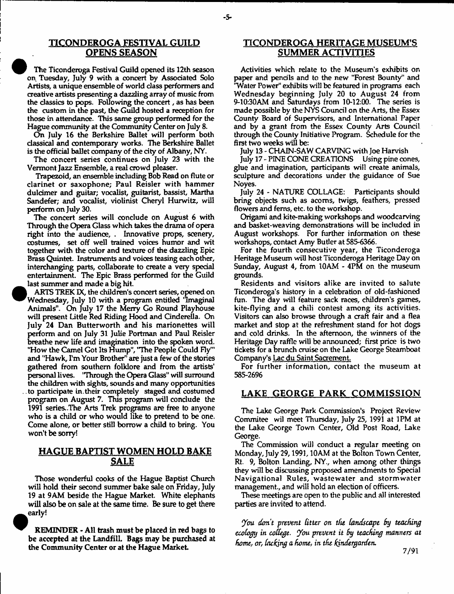## **TICONDEROGA FESTIVAL GUILD OPENS SEASON**

-5-

The Ticonderoga Festival Guild opened its 12th season on Tuesday, July 9 with a concert by Associated Solo Artists, a unique ensemble of world class performers and creative artists presenting a dazzling array of music from the classics to pops. Following the concert, as has been the custom in the past, the Guild hosted a reception for those in attendance. This same group performed for the Hague community at the Community Center on July 8.

On July 16 the Berkshire Ballet will perform both classical and contemporary works. The Berkshire Ballet is the official ballet company of the city of Albany, NY.

The concert series continues on July 23 with the Vermont Jazz Ensemble, a real crowd pleaser.

Trapezoid, an ensemble including Bob Read on flute or clarinet or saxophone; Paul Reisler with hammer duldmer and guitar; vocalist, guitarist, bassist, Martha Sandefer; and vocalist, violinist Cheryl Hurwitz, will perform on July 30.

The concert series will conclude on August 6 with Through the Opera Glass which takes the drama of opera right into the audience, . Innovative props, scenery, costumes, set off well trained voices humor and wit together with the color and texture of die dazzling Epic Brass Quintet. Instruments and voices teasing each other, interchanging parte, collaborate to create a very special entertainment. The Epic Brass performed for the Guild last summer and made a big hit.

 $\bullet$ 

ARTS TREK IX, the children's concert series, opened on Wednesday, July 10 with a program entitled 'Imaginal Animals". On July 17 the Merry Go Round Playhouse will present little Red Riding Hood and Cinderella. On July 24 Dan Butterworth and his marionettes will perform and on July 31 Julie Portman and Paul Reisler breathe new life and imagination into the spoken word. "How the Camel Got Its Hump", "The People Could Fly"' and "Hawk, I'm Your Brother" are just a few of the stories gathered from southern folklore and from the artists' personal lives. "Through the Opera Glass" will surround the children with sights, sounds and many opportunities . .to participate in.their completely staged and costumed program on August 7. This program will conclude the 1991 series. .The Arts Trek programs are free to anyone who is a child or who would like to pretend to be one. Come alone, or better still borrow a child to bring. You won't be sorry!

## **HAGUE BAPTIST WOMEN HOLD BAKE SALE**

Those wonderful cooks of the Hague Baptist Church will hold their second summer bake sale on Friday, July 19 at 9AM beside the Hague Market. White elephants will also be on sale at the same time. Be sure to get there early!

REMINDER - All trash must be placed in red bags to be accepted at the Landfill. Bags may be purchased at the Community Center or at the Hague Market.

## **TICONDEROGA HERITAGE MUSEUM'S SUMMER ACTIVITIES**

Activities which relate to the Museum's exhibits on paper and pencils and to the new "Forest Bounty" and 'Water Power" exhibits will be featured in programs each Wednesday beginning July 20 to August 24 from 9-10:30AM and Saturdays from 10-12:00. The series is made possible by the NYS Council on the Arts, the Essex County Board of Supervisors, and International Paper and by a grant from the Essex County Arts Council through the County Initiative Program. Schedule for the first two weeks will be:

July 13 - CHAIN-SAW CARVING with Joe Harvish

July 17 - PINE CONE CREATIONS Using pine cones, glue and imagination, participants will create animals, sculpture and decorations under the guidance of Sue Noyes.

July 24 - NATURE COLLAGE: Participants should bring objects such as acoms, twigs, feathers, pressed flowers and ferns, etc. to the workshop.

Origami and kite-making workshops and woodcarving and basket-weaving demonstrations will be included in August workshops. For further information on these workshops, contact Amy Butler at 585-6366.

For the fourth consecutive year, the Ticonderoga Heritage Museum will host Ticonderoga Heritage Day on Sunday, August 4, from 10AM - 4PM on the museum grounds.

Residents and visitors alike are invited to salute Ticonderoga's history in a celebration of old-fashioned fun. The day will feature sack races, children's games, kite-flying and a chili contest among its activities. Visitors can also browse through a craft fair and a flea market and stop at the refreshment stand for hot dogs and cold drinks. In the afternoon, the winners of the Heritage Day raffle will be announced; first price is two tickets for a brunch cruise on the Lake George Steamboat Company's Lac du Saint Sacrement.

For further information, contact the museum at 585-2696

## **LAKE GEORGE PARK COMMISSION**

The Lake George Park Commission's Project Review Commitee wil meet Thursday, July 25, 1991 at 1PM at the Lake George Town Center, Old Post Road, Lake George.

The Commission will conduct a regular meeting on Monday, July 29,1991,10AM at the Bolton Town Center, Rt. 9, Bolton Landing, NY., when among other things they will be discussing proposed amendments to Special Navigational Rules, wastewater and stormwater management., and will hold an election of officers.

These meetings are open to the public and all interested parties are invited to attend.

*Jou don't prevent Utter on the landscape by teaching ecology in college, ybu prevent it by teaching manners at homef or, Inching a home, in the kindergarden.*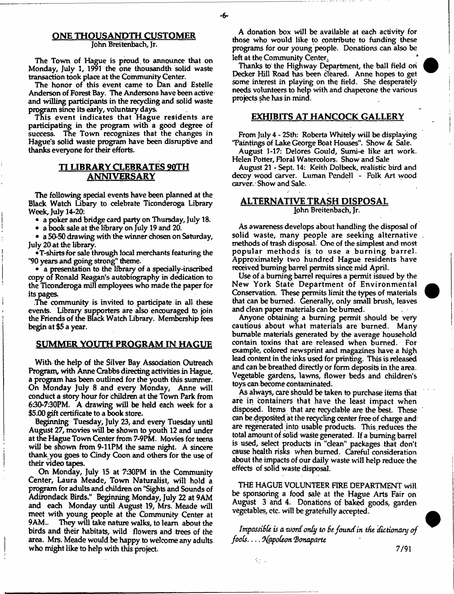#### ONE THOUSANDTH CUSTOMER John Breitenbach, Jr.

The Town of Hague is proud, to announce that on Monday, July 1, 1991 the one thousandth solid waste transaction took place at the Community Center.

The honor of this event came to Dan and Estelle Anderson of Forest Bay. The Andersons have been active and willing participants in the recycling and solid waste program since its early, voluntary days.

This event indicates that Hague residents are participating in the program with a good degree of success. The Town recognizes that the changes in Hague's solid waste program have been disruptive and thanks everyone for their efforts.

## TI LIBRARY CLEBRATES 90TH <u>ANNIVERSARY</u>

The following special events have been planned at the Black Watch Libary to celebrate Ticonderoga Library Week, July 14-20:

• a poker and bridge card party on Thursday, July 18.

• a book sale at the library on July 19 and 20.

• a 50-50 drawing with the winner chosen on Saturday, July 20 at the library.

•T-shirts for sale through local merchants featuring the \*90 years and going strong" theme.

• a presentation to the library of a specially-inscribed copy of Ronald Reagan's autobiography in dedication to the Ticonderoga mill employees who made the paper for its pages.

The community is invited to participate in all these events. Library supporters are also encouraged to join the Friends of the Black Watch Library. Membership fees begin at \$5 a year.

#### **SUMMER YOUTH PROGRAM IN HAGUE**

With the help of the Silver Bay Association Outreach Program, with Anne Crabbs directing activities in Hague, a program has been outlined for the youth this summer. On Monday July 8 and every Monday, Anne will conduct a story hour for children at the Town Park from 630-7:30PM. A drawing will be held each week for a \$5.00 gift certificate to a book store.

Beginning Tuesday, July 23, and every Tuesday until August 27, movies will be shown to youth 12 and under at the Hague Town Center from 7-9PM. Movies for teens will be shown from 9-11PM the same night. A sincere thank you goes to Cindy Coon and others for the use of their video tapes.

On Monday, July 15 at 7:30PM in the Community Center, Laura Meade, Town Naturalist, will hold a program for adults and children on "Sights and Sounds of Adirondack Birds." Beginning Monday, July 22 at 9AM and each Monday until August 19, Mrs. Meade will meet with young people at the Community Center at 9AM.. They will take nature walks, to learn about the birds and their habitats, wild flowers and trees of the area. Mrs. Meade would be happy to welcome any adults who might like to help with this project.

A donation box will be available at each activity for those who would like to contribute to funding these programs for our young people. Donations can also be left at the Community Center. *\**

Thanks to the Highway Department, the ball field ori Decker Hill Road has been cleared. Anne hopes to get some interest in playing on the field. She desperately needs volunteers to help with and chaperone the various projects she has in mind.

#### **EXHIBITS AT HANCOCK GALLERY**

From July 4 - 25th: Roberta Whitely will be displaying 'Paintings of Lake George Boat Houses". Show & Sale.

August 1-17: Delores Gould, Sumi-e like art work. Helen Potter, Floral Watercolors. Show and Sale

August 21 - Sept. 14: Keith Dolbeck, realistic bird and decoy wood carver. Luman Pendell - Folk Art wood carver. Show and Sale.

#### **ALTERNATIVE TRASH DISPOSAL** John Breitenbach, Jr.

As awareness develops about handling the disposal of solid waste, many people are seeking alternative methods of trash disposal. One of the simplest and most popular methods is to use a burning barrel. Approximately two hundred Hague residents have received burning barrel permits since mid April.

Use of a burning barrel requires a permit issued by the New York State Department of Environmental Conservation. These permits limit the types of materials that can be burned. Generally, only small brush, leaves and clean paper materials can be burned-

Anyone obtaining a burning permit should be very cautious about what materials are burned. Many burnable materials generated by the average household contain toxins that are released when burned. For example, colored newsprint and magazines have a high lead content in the inks used for printing. This is released and can be breathed directly or form deposits in the area. Vegetable gardens, lawns, flower beds and children's toys can become contaminated.

As always, care should be taken to purchase items that are in containers that have the least impact when disposed. Items that are recydable are the best. These can be.deposited at the recycling center free of charge and are regenerated into usable products. This.reduces the total amount of solid waste generated. If a burning barrel is used, select products in "dean" packages that don't cause health risks when burned. Careful consideration about the impacts of our daily waste will help reduce the effects of solid waste disposal.

THE HAGUE VOLUNTEER FIRE DEPARTMENT will be sponsoring a food sale at the Hague Arts Fair on August 3 and 4. Donations of baked goods, garden vegetables, etc. will be gratefully accepted.

Impossible is a word only to be found in the dictionary of *fools*— *OfapoUon 'Bonaparte*

 $\mathcal{L}_{\mathcal{L}}$  .

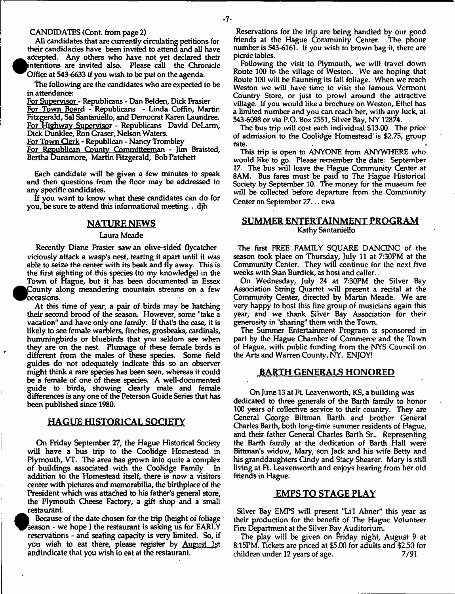#### CANDIDATES (Cont. from page 2)

 $\bullet$ 

All candidates that are currently circulating petitions for their candidacies have been invited to attend and all have accepted. Any others who have not yet declared their intentions are invited also. Please call the Chronicle Office at 543-6633 if you wish to be put on the agenda.

The following are the candidates who are expected to be in attendance:

For Supervisor - Republicans - Dan Belden, Dick Frasier For Town Board - Republicans - Linda Coffin, Martin Fitzgerald, Sal Santaniello, and Democrat Karen Laundree. For Highway Supervisor - Republicans David DeLarm, Dick Dunklee, Ron Graser, Nelson Waters.

For Town Clerk - Republican - Nancy Trombley

For Republican County Committeeman - Jim Braisted, Bertha Dunsmore, Martin Fitzgerald, Bob Patched

Each candidate will be given a few minutes to speak and then questions from the floor may be addressed to any specific candidates.

If you want to know what these candidates can do for you, be sure to attend this informational meeting.. .djh

## **NATURE NEWS**

#### Laura Meade

Recently Diane Frasier saw an olive-sided flycatcher viciously attack a wasp's nest, tearing it apart until it was able to seize the center with its beak and fly away. This is the first sighting of this species (to my knowledge) in the Town of Hague, but it has been documented in Essex <sup>•</sup> County along meandering mountain streams on a few occasions.

At this time of year, a pair of birds may be hatching their second brood of the season. However, some "take a vacation" and have only one family. If that's the case, it is likely to see female warblers, finches, grosbeaks, cardinals, hummingbirds or bluebirds that you seldom see when they are on the nest. Plumage of these female birds is different from the males of these species. Some field guides do not adequately indicate this so an observer might think a rare species has been seen, whereas it could be a female of one of these species. A well-documented guide to birds, showing clearly male and female differences is any one of the Peterson Guide Series that has been published since 1980.

## **HAGUE HISTORICAL SOCIETY**

On Friday September 27, the Hague Historical Society will have a bus trip to the Coolidge Homestead in Plymouth, VT. The area has grown into quite a complex of buildings associated with the Coolidge Family. In addition to the Homestead itself, there is now a visitors center with pictures and memorabilia, the birthplace of the President which was attached to his father's general store, the Plymouth Cheese Factory, a gift shop and a small restaurant.

*• i* Because of the date chosen for the trip (height of foliage season - we hope ) the restaurant is asking us for EARLY reservations - and seating capacity is very limited. So, if you wish to eat there, please register by August 1st and indicate that you wish to eat at the restaurant.

Reservations for the trip are being handled by our good friends at the Hague Community Center. The phone number is 543-6161. If you wish to brown bag it, there are picnic tables.

Following the visit to Plymouth, we will travel down Route 100 to the village of Weston. We are hoping that Route 100 will be flaunting its fall foliage. When we reach Weston we will have time to visit the famous Vermont Country Store, or just to prowl around the attractive village. If you would like a brochure on Weston, Ethel has a limited number and you can reach her, with any luck, at 543-6098 or via P.O. Box 2551, Silver Bay, NY 12874.

The bus trip will cost each individual \$13.00. The price of admission to the Coolidge Homestead is \$2.75, group rate.

This trip is open to ANYONE from ANYWHERE who would like to go. Please remember the date: September 17. The bus will leave the Hague Community Center at 8AM. Bus fares must be paid to The Hague Historical Society by September 10. The money for the museum fee will be collected before departure from the Community Center on September 27... ewa

#### **SUMMER ENTERTAINMENT PROGRAM** Kathy Santaniello

The first FREE FAMILY SQUARE DANCINC of the season took place on Thursday, July 11 at 7:30PM at the Community Center. They will continue for the next five weeks with Stan Burdick, as host and caller,.

On Wednesday, July 24 at 7:30PM the Silver Bay Association String Quartet will present a recital at the Community Center, directed by Martin Meade. We are very happy to host this fine group of musicians again this year, and we thank Silver Bay Association for their generosity in "sharing" them with the Town.

The Summer Entertainment Program is sponsored in part by the Hague Chamber of Commerce and the Town of Hague, with public funding from the NYS Council on the Arts and Warren County, NY. ENJOY!

## **BARTH GENERALS HONORED**

On June 13 at Ft. Leavenworth, KS, a building was dedicated to three generals of the Barth family to honor 100 years of collective service to their country. They are General George Bittman Barth and brother General Charles Barth, both long-time summer residents of Hague, and their father General Charles Barth Sr.. Representing the Barth family at the dedication of Barth Hall were Bittman's widow, Mary, son Jack and his wife Betty and his granddaughters Cindy and Stacy Shearer. Mary is still living at Ft. Leavenworth and enjoys hearing from her old friends in Hague.

## **EMPS TO STAGE PLAY**

Silver Bay EMPS will present "Li'l Abner" this year as their production for the benefit of The Hague Volunteer Fire Department at the Silver Bay Auditorium.

The play will be given on Friday night, August 9 at 8:15PM. Tickets are priced at \$5.00 for adults and \$2.50 for  $\alpha$  children under 12 years of age.  $\alpha$  7/91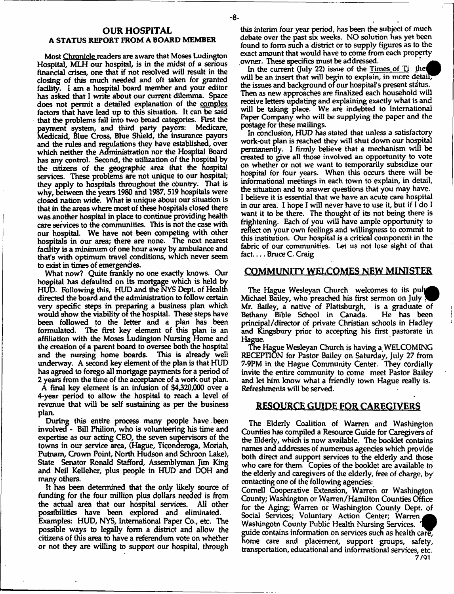#### **OUR HOSPITAL** A STATUS REPORT FROM A BOARD MEMBER

Most Chronicle readers are aware that Moses Ludington Hospital, MLH our hospital, is in the midst of a serious financial crises, one that if not resolved will result in the closing of this much needed and oft taken for granted facility. I am a hospital board member and your editor has asked that I write about our current dilemma. Space does not permit a detailed explanation of the complex factors that have lead up to this situation. It can be said that the problems fall into two broad categories. First the payment system, and third party payors: Medicare, Medicaid, Blue Cross, Blue Shield, the insurance payors and the rules and regulations they have established, over which neither the Administration nor the Hospital Board has any control. Second, the utilization of the hospital by the citizens of the geographic area that the hospital services. These problems are not unique to our hospital; they apply to hospitals throughout the country. That is why, between the years 1980 and 1987, 519 hospitals were closed nation wide. What is unique about our situation is that in the areas where most of these hospitals closed there was another hospital in place to continue providing health care services to the communities. This is not the case with our hospital. We have not been competing with other hospitals in our area; there are none. The next nearest facility is a minimum of one hour away by ambulance and that's with optimum travel conditions, which never seem to exist in times of emergencies.

What now? Quite frankly no one exactly knows. Our hospital has defaulted on its mortgage which is held by HUD. Following this, HUD and the NYS Dept, of Health directed the board and the administration to follow certain very specific steps in preparing a business plan which would show the viability of the hospital. These steps have been followed to the letter and a plan has been formulated. The first key element of this plan is an affiliation with the Moses Ludington Nursing Home and the creation of a parent board to oversee both the hospital<br>and the nursing home boards. This is already well and the nursing home boards. underway. A second key element of the plan is that HUD has agreed to forego all mortgage payments for a period of 2 years from die time of the acceptance of a work out plan. A final key element is an infusion of \$4320,000 over a 4-year period to allow the hospital to reach a level of revenue that will be self sustaining as per the business plan.

During this entire process many people have been involved - Bill Philion, who is volunteering his time and expertise as our acting CEO, the seven supervisors of the towns in our service area, (Hague, Ticonderoga, Moriah, Putnam, Crown Point, North Hudson and Schroon Lake), State Senator Ronald Stafford, Assemblyman Jim King and Neil Kelleher, plus people in HUD and DOH and many others.

It has been determined that the only likely source of funding for the four million plus dollars needed is from the actual area that our hospital services. All other possibilities have been explored and eliminated. Examples: HUD, NYS, International Paper Co., etc. The possible ways to legally form a district and allow the citizens of this area to have a referendum vote on whether or not they are willing to support our hospital, through

this interim four year period, has been the subject of much debate over the past six weeks. NO solution has yet been found to form such a district or to supply figures as to the exact amount that would have to come from each property owner. These specifics must be addressed.

In the current (July 22) issue of the Times of Ti the will be an insert that will begin to explain, in more detail, the issues and background of our hospital's present status. Then as new approaches are finalized each household will receive letters updating and explaining exactly what is and will be taking place. We are indebted to International Paper Company who will be supplying the paper and the postage for these mailings.

In conclusion, HUD has stated that unless a satisfactory work-out plan is reached they will shut down our hospital permanently. I firmly believe that a mechanism will be created to give all those involved an opportunity to vote on whether or not we want to temporarily subsidize our hospital for four years. When this occurs there will be informational meetings in each town to explain, in detail, the situation and to answer questions that you may have. 1 believe it is essential that we have an acute care hospital in our area. I hope I will never have to use it, but if I do I want it to be there. The thought of its not being there is frightening. Each of you will have ample opportunity to reflect on your own feelings and willingness to commit to this institution. Our hospital is a critical component in the fabric of our communities. Let us not lose sight of that fact.... Bruce C. Craig

#### COMMUNITY WELCOMES NEW MINISTER

The Hague Wesleyan Church welcomes to its puly Michael Bailey, who preached his first sermon on July Mr. Bailey, a native of Plattsburgh, is a graduate of Bethany Bible School in Canada. principal/director of private Christian schools in Hadley and Kingsbury prior to accepting his first pastorate in Hague.

The Hague Wesleyan Church is having a WELCOMING RECEPTION for Pastor Bailey on Saturday, July 27 from 7-9PM in the Hague Community Center. They cordially invite the entire community to come meet Pastor Bailey and let him know what a friendly town Hague really is. Refreshments will be served.

#### RESOURCE GUIDE FOR CAREGIVERS

The Elderly Coalition of Warren and Washington Counties has compiled a Resource Guide for Caregivers of the Elderly, which is now available. The booklet contains names and addresses of numerous agencies which provide both direct and support services to the elderly and those who care for them. Copies of the booklet are available to the elderly and caregivers of the elderly, free of charge, by contacting one of the following agencies:

Cornell Cooperative Extension, Warren or Washington County; Washington or Warren/Hamilton Counties Office for the Aging; Warren or Washington County Dept, of Social Services; Voluntary Action Center; Warren Washingotn County Public Health Nursing Services. guide contains information on services such as health care, home care and placement, support groups, safety, transportation, educational and informational services, etc. 7/01

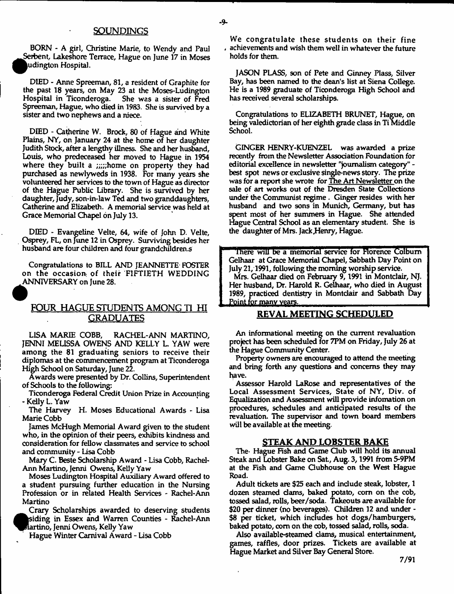BORN - A girl, Christine Marie, to Wendy and Paul Serbent, Lakeshore Terrace, Hague on June 17 in Moses u dington Hospital.

DIED - Anne Spreeman, 81, a resident of Graphite for the past 18 years, on May 23 at the Moses-Ludington Hospital in Ticonderoga. She was a sister of Fred Spreeman, Hague, who died in 1983. She is survived by a sister and two nephews and a niece.

DIED - Catherine W. Brock, 80 of Hague and White Plains, NY, on January 24 at the home of her daughter Judith Stock, after a lengthy illness. She and her husband, Louis, who predeceased her moved to Hague in 1954 where they built a ;;;;;home on property they had purchased as newlyweds in 1938. For many years she volunteered her services to the town of Hague as director of the Hague Public Library. She is survived by her daughter, Judy, son-in-law Ted and two granddaughters, Catherine and Elizabeth. A memorial service was held at Grace Memorial Chapel on July 13.

DIED - Evangeline Velte, 64, wife of John D. Velte, Osprey, FL, on June 12 in Osprey. Surviving besides her husband are four children and four grandchildren.s

Congratulations to BILL AND JEANNETTE FOSTER on the occasion: of their FIFTIETH WEDDING ANNIVERSARY on June 28.

## **FOUR HAGUE STUDENTS AMONG T1 HI GRADUATES**

LISA MARIE COBB, RACHEL-ANN MARTINO, JENNI MELISSA OWENS AND KELLY L. YAW were among the 81 graduating seniors to receive their diplomas at the commencement program at Ticonderoga High School on Saturday, June 22.

Awards were presented by Dr. Collins, Superintendent of Schools to the following:

Ticonderoga Federal Credit Union Prize in Accounting - Kelly L. Yaw

The Harvey H. Moses Educational Awards - Lisa Marie Cobb

James McHugh Memorial Award given to the student who, in the opinion of their peers, exhibits kindness and consideration for fellow classmates and service to school and community - Lisa Cobb

Mary C. Beste Scholarship Award - Lisa Cobb, Rachel-Ann Martino, Jenni Owens, Kelly Yaw

Moses Ludington Hospital Auxiliary Award offered to a student pursuing further education in the Nursing Profession or in related Health Services - Rachel-Ann Martino

Crary Scholarships awarded to deserving students siding in Essex and Warren Counties - Rachel-Ann lartino, Jenni Owens, Kelly Yaw

Hague Winter Carnival Award - Lisa Cobb

We congratulate these students on their fine , achievements and wish them well in whatever the future holds for them.

JASON PLASS, son of Pete and Ginney Plass, Silver Bay, has been named to the dean's list at Siena College. He is a 1989 graduate of Ticonderoga High School and has received several scholarships.

Congratulations to ELIZABETH BRUNET, Hague, on being valedictorian of her eighth grade class in Ti Middle School.

GINGER HENRY-KUENZEL was awarded a prize recently from the Newsletter Association Foundation for editorial excellence in newsletter "journalism category" best spot news or exclusive single-news story. The prize was for a report she wrote for The Art Newsletter on the sale of art works out of the Dresden State Collections under the Communist regime. Ginger resides with her husband and two sons in Munich, Germany, but has spent most of her summers in Hague. She attended Hague Central School as an elementary student. She is the daughter of Mrs. Jack Henry, Hague.

There will be a memorial service for Florence Colburn Gelhaar at Grace Memorial Chapel, Sabbath Day Point on July 21,1991, following the morning worship service.

Mrs. Gelhaar died on February 9,1991 in Montclair, NJ. Her husband, Dr. Harold R. Gelhaar, who died in August 1989, practiced dentistry in Montclair and Sabbath Day <u>Point for many years</u>

## **REVAL MEETING SCHEDULED**

An informational meeting on the current revaluation project has been scheduled for 7PM on Friday, July 26 at the Hague Community Center.

Property owners are encouraged to attend the meeting and bring forth any questions and concerns they may have.

Assessor Harold LaRose and representatives of the Local Assessment Services, State of NY, Div. of Equalization and Assessment will provide infomation on procedures, schedules and anticipated results of the revaluation. The supervisor and town board members will be available at the meeting.

#### **STEAK AND LOBSTER BAKE**

The- Hague Fish and Game Club will hold its annual Steak and Lobster Bake on Sat, Aug. 3,1991 from 5-9PM at the Fish and Game Clubhouse on the West Hague Road.

Adult tickets are \$25 each and indude steak, lobster, 1 dozen steamed dams, baked potato, com on the cob, tossed salad, rolls, beer/soda. Takeouts are available for \$20 per dinner (no beverages). Children 12 and under - \$8 per ticket, which includes hot dogs/hamburgers, baked potato, com on the cob, tossed salad, rolls, soda.

Also available-steamed dams, musical entertainment, games, raffles, door prizes. Tickets are available at Hague Market and Silver Bay General Store.